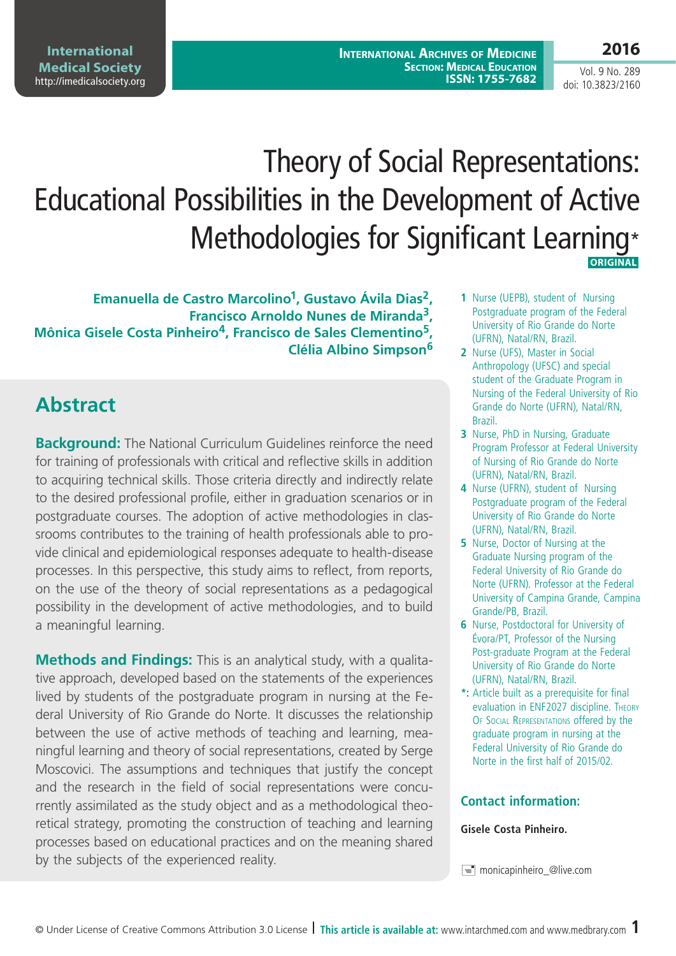# Theory of Social Representations: Educational Possibilities in the Development of Active Methodologies for Significant Learning\*  **ORIGINAL**

**Emanuella de Castro Marcolino1, Gustavo Ávila Dias2, Francisco Arnoldo Nunes de Miranda3, Mônica Gisele Costa Pinheiro4, Francisco de Sales Clementino5, Clélia Albino Simpson<sup>6</sup>**

## **Abstract**

**Background:** The National Curriculum Guidelines reinforce the need for training of professionals with critical and reflective skills in addition to acquiring technical skills. Those criteria directly and indirectly relate to the desired professional profile, either in graduation scenarios or in postgraduate courses. The adoption of active methodologies in classrooms contributes to the training of health professionals able to provide clinical and epidemiological responses adequate to health-disease processes. In this perspective, this study aims to reflect, from reports, on the use of the theory of social representations as a pedagogical possibility in the development of active methodologies, and to build a meaningful learning.

**Methods and Findings:** This is an analytical study, with a qualitative approach, developed based on the statements of the experiences lived by students of the postgraduate program in nursing at the Federal University of Rio Grande do Norte. It discusses the relationship between the use of active methods of teaching and learning, meaningful learning and theory of social representations, created by Serge Moscovici. The assumptions and techniques that justify the concept and the research in the field of social representations were concurrently assimilated as the study object and as a methodological theoretical strategy, promoting the construction of teaching and learning processes based on educational practices and on the meaning shared by the subjects of the experienced reality.

- **1** Nurse (UEPB), student of Nursing Postgraduate program of the Federal University of Rio Grande do Norte (UFRN), Natal/RN, Brazil.
- **2** Nurse (UFS), Master in Social Anthropology (UFSC) and special student of the Graduate Program in Nursing of the Federal University of Rio Grande do Norte (UFRN), Natal/RN, Brazil.
- **3** Nurse, PhD in Nursing, Graduate Program Professor at Federal University of Nursing of Rio Grande do Norte (UFRN), Natal/RN, Brazil.
- **4** Nurse (UFRN), student of Nursing Postgraduate program of the Federal University of Rio Grande do Norte (UFRN), Natal/RN, Brazil.
- **5** Nurse, Doctor of Nursing at the Graduate Nursing program of the Federal University of Rio Grande do Norte (UFRN). Professor at the Federal University of Campina Grande, Campina Grande/PB, Brazil.
- **6** Nurse, Postdoctoral for University of Évora/PT, Professor of the Nursing Post-graduate Program at the Federal University of Rio Grande do Norte (UFRN), Natal/RN, Brazil.
- **\*:** Article built as a prerequisite for final evaluation in ENF2027 discipline. Theory Of Social Representations offered by the graduate program in nursing at the Federal University of Rio Grande do Norte in the first half of 2015/02.

#### **Contact information:**

#### **Gisele Costa Pinheiro.**

© Under License of Creative Commons Attribution 3.0 License **| This article is available at:** www.intarchmed.com and www.medbrary.com 1

Vol. 9 No. 289 doi: 10.3823/2160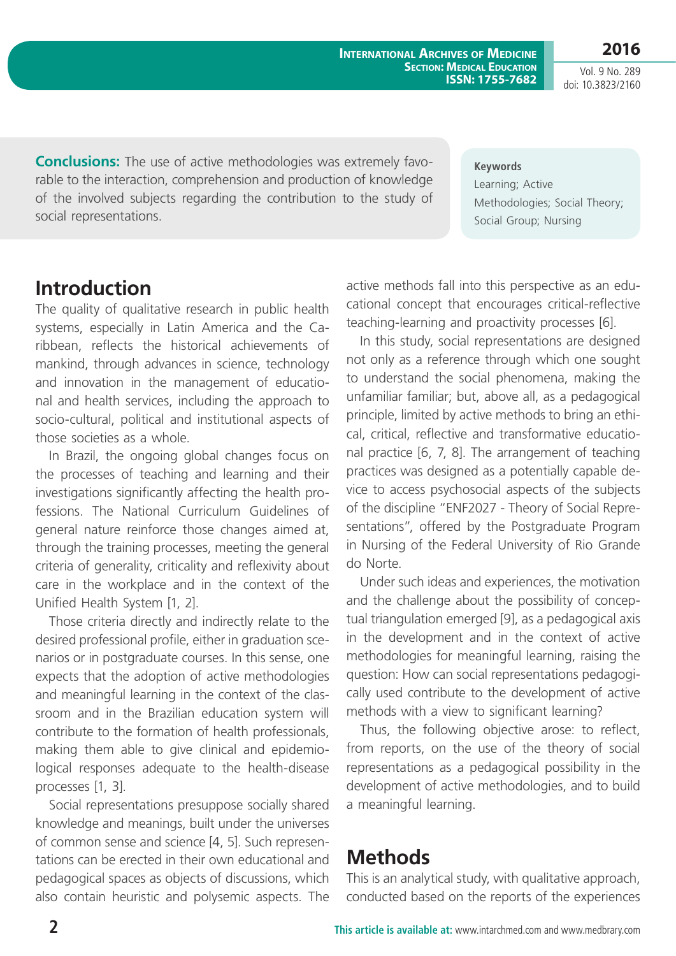**2016** Vol. 9 No. 289 doi: 10.3823/2160

**Conclusions:** The use of active methodologies was extremely favorable to the interaction, comprehension and production of knowledge of the involved subjects regarding the contribution to the study of social representations.

**Keywords** Learning; Active Methodologies; Social Theory; Social Group; Nursing

### **Introduction**

The quality of qualitative research in public health systems, especially in Latin America and the Caribbean, reflects the historical achievements of mankind, through advances in science, technology and innovation in the management of educational and health services, including the approach to socio-cultural, political and institutional aspects of those societies as a whole.

In Brazil, the ongoing global changes focus on the processes of teaching and learning and their investigations significantly affecting the health professions. The National Curriculum Guidelines of general nature reinforce those changes aimed at, through the training processes, meeting the general criteria of generality, criticality and reflexivity about care in the workplace and in the context of the Unified Health System [1, 2].

Those criteria directly and indirectly relate to the desired professional profile, either in graduation scenarios or in postgraduate courses. In this sense, one expects that the adoption of active methodologies and meaningful learning in the context of the classroom and in the Brazilian education system will contribute to the formation of health professionals, making them able to give clinical and epidemiological responses adequate to the health-disease processes [1, 3].

Social representations presuppose socially shared knowledge and meanings, built under the universes of common sense and science [4, 5]. Such representations can be erected in their own educational and pedagogical spaces as objects of discussions, which also contain heuristic and polysemic aspects. The active methods fall into this perspective as an educational concept that encourages critical-reflective teaching-learning and proactivity processes [6].

In this study, social representations are designed not only as a reference through which one sought to understand the social phenomena, making the unfamiliar familiar; but, above all, as a pedagogical principle, limited by active methods to bring an ethical, critical, reflective and transformative educational practice [6, 7, 8]. The arrangement of teaching practices was designed as a potentially capable device to access psychosocial aspects of the subjects of the discipline "ENF2027 - Theory of Social Representations", offered by the Postgraduate Program in Nursing of the Federal University of Rio Grande do Norte.

Under such ideas and experiences, the motivation and the challenge about the possibility of conceptual triangulation emerged [9], as a pedagogical axis in the development and in the context of active methodologies for meaningful learning, raising the question: How can social representations pedagogically used contribute to the development of active methods with a view to significant learning?

Thus, the following objective arose: to reflect, from reports, on the use of the theory of social representations as a pedagogical possibility in the development of active methodologies, and to build a meaningful learning.

## **Methods**

This is an analytical study, with qualitative approach, conducted based on the reports of the experiences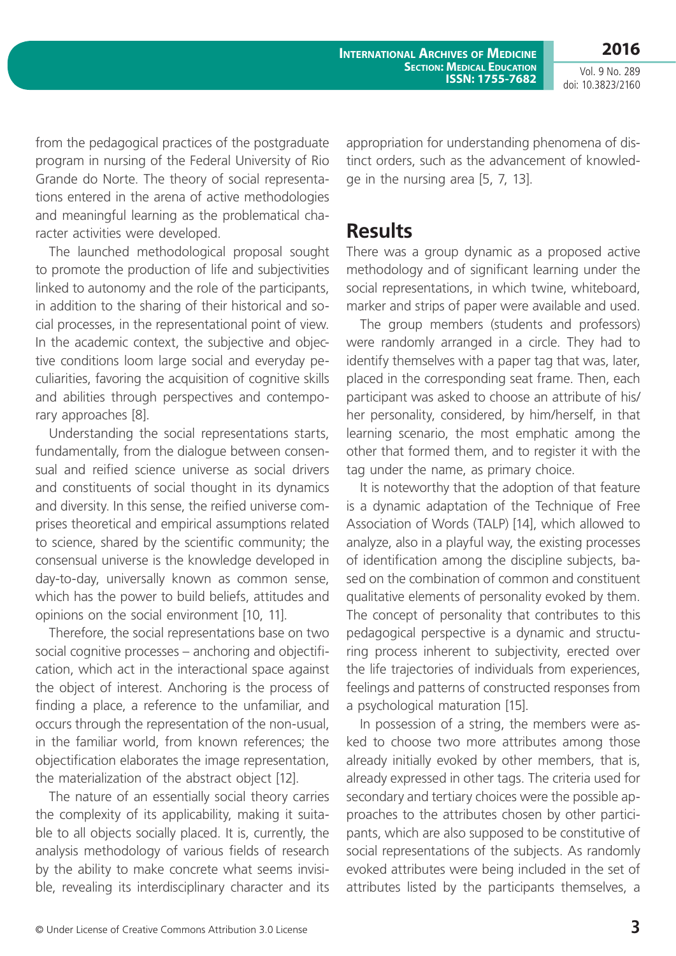Vol. 9 No. 289 doi: 10.3823/2160

**2016**

from the pedagogical practices of the postgraduate program in nursing of the Federal University of Rio Grande do Norte. The theory of social representations entered in the arena of active methodologies and meaningful learning as the problematical character activities were developed.

The launched methodological proposal sought to promote the production of life and subjectivities linked to autonomy and the role of the participants, in addition to the sharing of their historical and social processes, in the representational point of view. In the academic context, the subjective and objective conditions loom large social and everyday peculiarities, favoring the acquisition of cognitive skills and abilities through perspectives and contemporary approaches [8].

Understanding the social representations starts, fundamentally, from the dialogue between consensual and reified science universe as social drivers and constituents of social thought in its dynamics and diversity. In this sense, the reified universe comprises theoretical and empirical assumptions related to science, shared by the scientific community; the consensual universe is the knowledge developed in day-to-day, universally known as common sense, which has the power to build beliefs, attitudes and opinions on the social environment [10, 11].

Therefore, the social representations base on two social cognitive processes – anchoring and objectification, which act in the interactional space against the object of interest. Anchoring is the process of finding a place, a reference to the unfamiliar, and occurs through the representation of the non-usual, in the familiar world, from known references; the objectification elaborates the image representation, the materialization of the abstract object [12].

The nature of an essentially social theory carries the complexity of its applicability, making it suitable to all objects socially placed. It is, currently, the analysis methodology of various fields of research by the ability to make concrete what seems invisible, revealing its interdisciplinary character and its appropriation for understanding phenomena of distinct orders, such as the advancement of knowledge in the nursing area [5, 7, 13].

#### **Results**

There was a group dynamic as a proposed active methodology and of significant learning under the social representations, in which twine, whiteboard, marker and strips of paper were available and used.

The group members (students and professors) were randomly arranged in a circle. They had to identify themselves with a paper tag that was, later, placed in the corresponding seat frame. Then, each participant was asked to choose an attribute of his/ her personality, considered, by him/herself, in that learning scenario, the most emphatic among the other that formed them, and to register it with the tag under the name, as primary choice.

It is noteworthy that the adoption of that feature is a dynamic adaptation of the Technique of Free Association of Words (TALP) [14], which allowed to analyze, also in a playful way, the existing processes of identification among the discipline subjects, based on the combination of common and constituent qualitative elements of personality evoked by them. The concept of personality that contributes to this pedagogical perspective is a dynamic and structuring process inherent to subjectivity, erected over the life trajectories of individuals from experiences, feelings and patterns of constructed responses from a psychological maturation [15].

In possession of a string, the members were asked to choose two more attributes among those already initially evoked by other members, that is, already expressed in other tags. The criteria used for secondary and tertiary choices were the possible approaches to the attributes chosen by other participants, which are also supposed to be constitutive of social representations of the subjects. As randomly evoked attributes were being included in the set of attributes listed by the participants themselves, a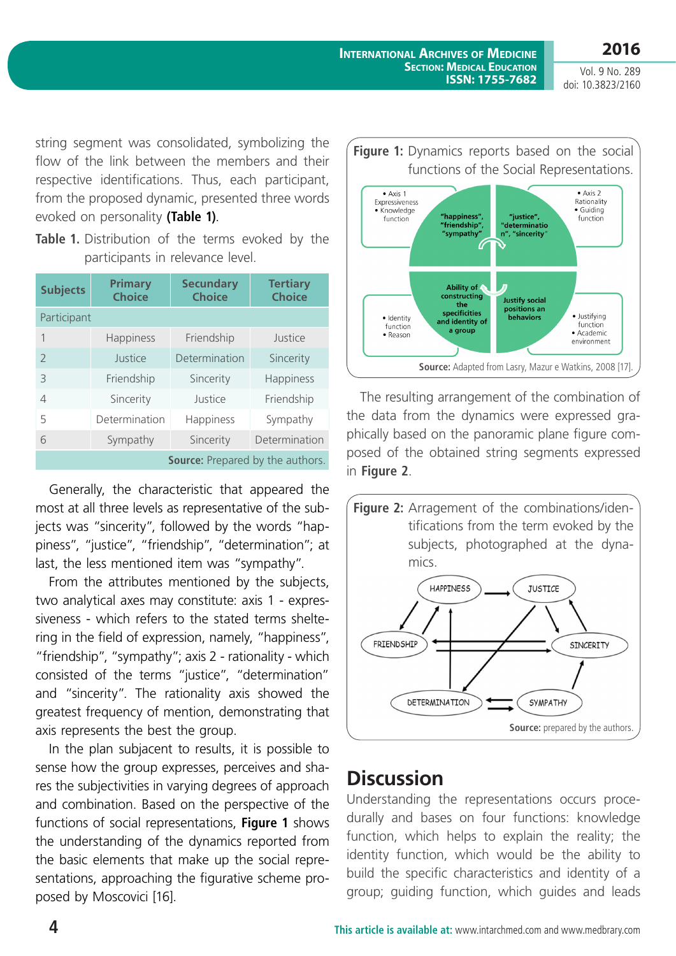**2016**

Vol. 9 No. 289 doi: 10.3823/2160

string segment was consolidated, symbolizing the flow of the link between the members and their respective identifications. Thus, each participant, from the proposed dynamic, presented three words evoked on personality **(Table 1)**.

|  | <b>Table 1.</b> Distribution of the terms evoked by the |  |  |  |
|--|---------------------------------------------------------|--|--|--|
|  | participants in relevance level.                        |  |  |  |

| <b>Subjects</b>                  | <b>Primary</b><br><b>Choice</b> | <b>Secundary</b><br><b>Choice</b> | <b>Tertiary</b><br><b>Choice</b> |  |  |  |  |  |  |
|----------------------------------|---------------------------------|-----------------------------------|----------------------------------|--|--|--|--|--|--|
| Participant                      |                                 |                                   |                                  |  |  |  |  |  |  |
| 1                                | Happiness                       | Friendship                        | Justice                          |  |  |  |  |  |  |
| $\mathcal{P}$                    | Justice                         | Determination                     | Sincerity                        |  |  |  |  |  |  |
| 3                                | Friendship                      | Sincerity                         | Happiness                        |  |  |  |  |  |  |
| 4                                | Sincerity                       | Justice                           | Friendship                       |  |  |  |  |  |  |
| 5                                | Determination                   | Happiness                         | Sympathy                         |  |  |  |  |  |  |
| 6                                | Sympathy                        | Sincerity                         | Determination                    |  |  |  |  |  |  |
| Source: Prepared by the authors. |                                 |                                   |                                  |  |  |  |  |  |  |

Generally, the characteristic that appeared the most at all three levels as representative of the subjects was "sincerity", followed by the words "happiness", "justice", "friendship", "determination"; at last, the less mentioned item was "sympathy".

From the attributes mentioned by the subjects, two analytical axes may constitute: axis 1 - expressiveness - which refers to the stated terms sheltering in the field of expression, namely, "happiness", "friendship", "sympathy"; axis 2 - rationality - which consisted of the terms "justice", "determination" and "sincerity". The rationality axis showed the greatest frequency of mention, demonstrating that axis represents the best the group.

In the plan subjacent to results, it is possible to sense how the group expresses, perceives and shares the subjectivities in varying degrees of approach and combination. Based on the perspective of the functions of social representations, **Figure 1** shows the understanding of the dynamics reported from the basic elements that make up the social representations, approaching the figurative scheme proposed by Moscovici [16].



The resulting arrangement of the combination of the data from the dynamics were expressed graphically based on the panoramic plane figure composed of the obtained string segments expressed in **Figure 2**.



## **Discussion**

Understanding the representations occurs procedurally and bases on four functions: knowledge function, which helps to explain the reality; the identity function, which would be the ability to build the specific characteristics and identity of a group; guiding function, which guides and leads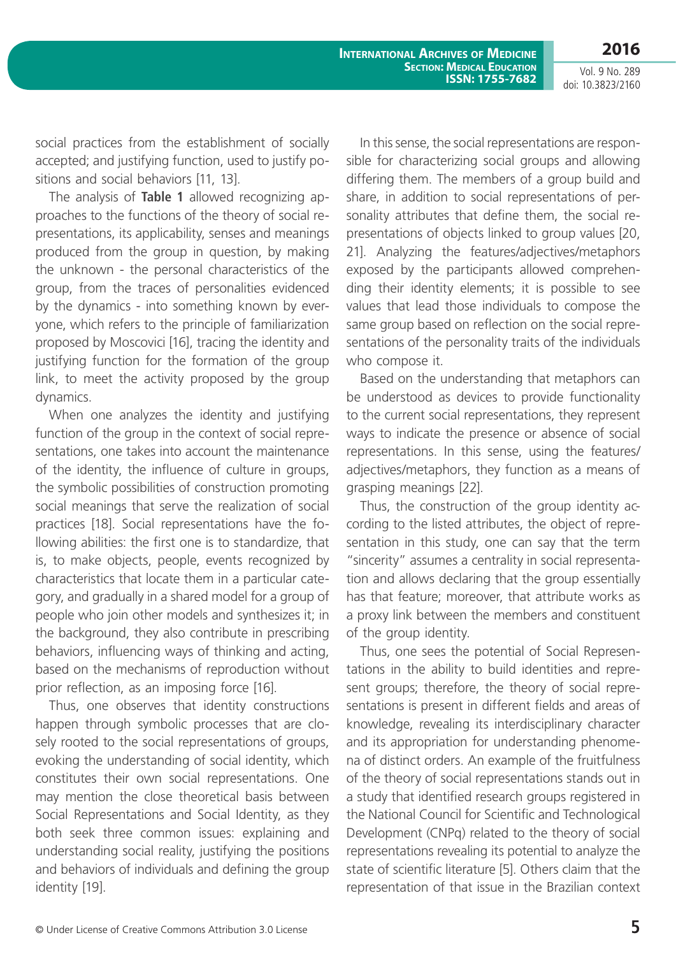Vol. 9 No. 289 doi: 10.3823/2160

**2016**

social practices from the establishment of socially accepted; and justifying function, used to justify positions and social behaviors [11, 13].

The analysis of **Table 1** allowed recognizing approaches to the functions of the theory of social representations, its applicability, senses and meanings produced from the group in question, by making the unknown - the personal characteristics of the group, from the traces of personalities evidenced by the dynamics - into something known by everyone, which refers to the principle of familiarization proposed by Moscovici [16], tracing the identity and justifying function for the formation of the group link, to meet the activity proposed by the group dynamics.

When one analyzes the identity and justifying function of the group in the context of social representations, one takes into account the maintenance of the identity, the influence of culture in groups, the symbolic possibilities of construction promoting social meanings that serve the realization of social practices [18]. Social representations have the following abilities: the first one is to standardize, that is, to make objects, people, events recognized by characteristics that locate them in a particular category, and gradually in a shared model for a group of people who join other models and synthesizes it; in the background, they also contribute in prescribing behaviors, influencing ways of thinking and acting, based on the mechanisms of reproduction without prior reflection, as an imposing force [16].

Thus, one observes that identity constructions happen through symbolic processes that are closely rooted to the social representations of groups, evoking the understanding of social identity, which constitutes their own social representations. One may mention the close theoretical basis between Social Representations and Social Identity, as they both seek three common issues: explaining and understanding social reality, justifying the positions and behaviors of individuals and defining the group identity [19].

In this sense, the social representations are responsible for characterizing social groups and allowing differing them. The members of a group build and share, in addition to social representations of personality attributes that define them, the social representations of objects linked to group values [20, 21]. Analyzing the features/adjectives/metaphors exposed by the participants allowed comprehending their identity elements; it is possible to see values that lead those individuals to compose the same group based on reflection on the social representations of the personality traits of the individuals who compose it.

Based on the understanding that metaphors can be understood as devices to provide functionality to the current social representations, they represent ways to indicate the presence or absence of social representations. In this sense, using the features/ adjectives/metaphors, they function as a means of grasping meanings [22].

Thus, the construction of the group identity according to the listed attributes, the object of representation in this study, one can say that the term "sincerity" assumes a centrality in social representation and allows declaring that the group essentially has that feature; moreover, that attribute works as a proxy link between the members and constituent of the group identity.

Thus, one sees the potential of Social Representations in the ability to build identities and represent groups; therefore, the theory of social representations is present in different fields and areas of knowledge, revealing its interdisciplinary character and its appropriation for understanding phenomena of distinct orders. An example of the fruitfulness of the theory of social representations stands out in a study that identified research groups registered in the National Council for Scientific and Technological Development (CNPq) related to the theory of social representations revealing its potential to analyze the state of scientific literature [5]. Others claim that the representation of that issue in the Brazilian context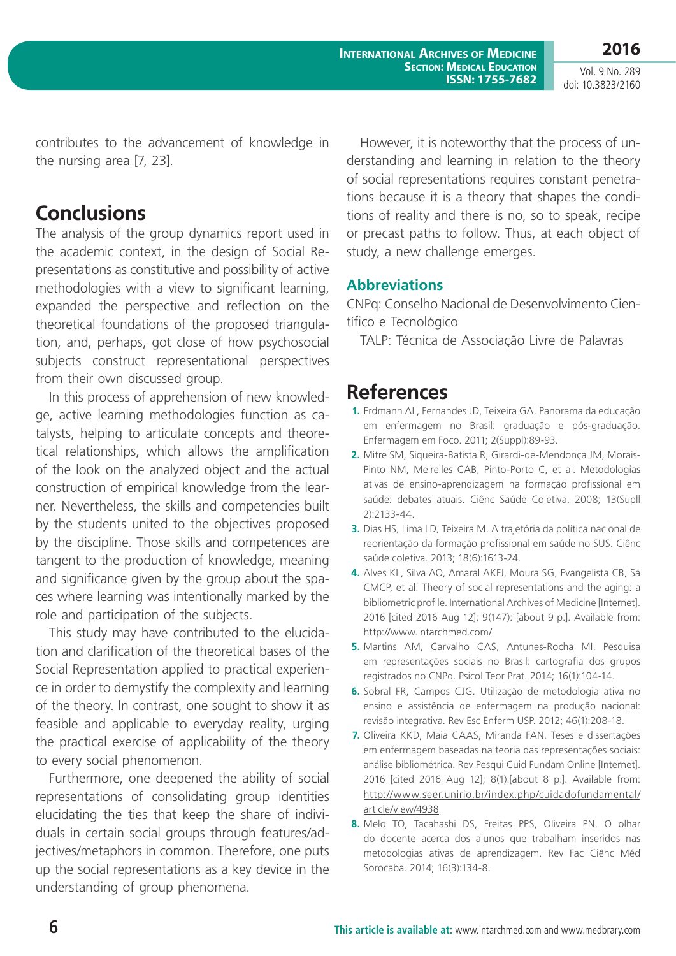Vol. 9 No. 289 doi: 10.3823/2160

contributes to the advancement of knowledge in the nursing area [7, 23].

## **Conclusions**

The analysis of the group dynamics report used in the academic context, in the design of Social Representations as constitutive and possibility of active methodologies with a view to significant learning, expanded the perspective and reflection on the theoretical foundations of the proposed triangulation, and, perhaps, got close of how psychosocial subjects construct representational perspectives from their own discussed group.

In this process of apprehension of new knowledge, active learning methodologies function as catalysts, helping to articulate concepts and theoretical relationships, which allows the amplification of the look on the analyzed object and the actual construction of empirical knowledge from the learner. Nevertheless, the skills and competencies built by the students united to the objectives proposed by the discipline. Those skills and competences are tangent to the production of knowledge, meaning and significance given by the group about the spaces where learning was intentionally marked by the role and participation of the subjects.

This study may have contributed to the elucidation and clarification of the theoretical bases of the Social Representation applied to practical experience in order to demystify the complexity and learning of the theory. In contrast, one sought to show it as feasible and applicable to everyday reality, urging the practical exercise of applicability of the theory to every social phenomenon.

Furthermore, one deepened the ability of social representations of consolidating group identities elucidating the ties that keep the share of individuals in certain social groups through features/adjectives/metaphors in common. Therefore, one puts up the social representations as a key device in the understanding of group phenomena.

However, it is noteworthy that the process of understanding and learning in relation to the theory of social representations requires constant penetrations because it is a theory that shapes the conditions of reality and there is no, so to speak, recipe or precast paths to follow. Thus, at each object of study, a new challenge emerges.

#### **Abbreviations**

CNPq: Conselho Nacional de Desenvolvimento Científico e Tecnológico

TALP: Técnica de Associação Livre de Palavras

### **References**

- **1.** Erdmann AL, Fernandes JD, Teixeira GA. Panorama da educação em enfermagem no Brasil: graduação e pós-graduação. Enfermagem em Foco. 2011; 2(Suppl):89-93.
- **2.** Mitre SM, Siqueira-Batista R, Girardi-de-Mendonça JM, Morais-Pinto NM, Meirelles CAB, Pinto-Porto C, et al. Metodologias ativas de ensino-aprendizagem na formação profissional em saúde: debates atuais. Ciênc Saúde Coletiva. 2008; 13(Supll 2):2133-44.
- **3.** Dias HS, Lima LD, Teixeira M. A trajetória da política nacional de reorientação da formação profissional em saúde no SUS. Ciênc saúde coletiva. 2013; 18(6):1613-24.
- **4.** Alves KL, Silva AO, Amaral AKFJ, Moura SG, Evangelista CB, Sá CMCP, et al. Theory of social representations and the aging: a bibliometric profile. International Archives of Medicine [Internet]. 2016 [cited 2016 Aug 12]; 9(147): [about 9 p.]. Available from: http://www.intarchmed.com/
- **5.** Martins AM, Carvalho CAS, Antunes-Rocha MI. Pesquisa em representações sociais no Brasil: cartografia dos grupos registrados no CNPq. Psicol Teor Prat. 2014; 16(1):104-14.
- **6.** Sobral FR, Campos CJG. Utilização de metodologia ativa no ensino e assistência de enfermagem na produção nacional: revisão integrativa. Rev Esc Enferm USP. 2012; 46(1):208-18.
- **7.** Oliveira KKD, Maia CAAS, Miranda FAN. Teses e dissertações em enfermagem baseadas na teoria das representações sociais: análise bibliométrica. Rev Pesqui Cuid Fundam Online [Internet]. 2016 [cited 2016 Aug 12]; 8(1):[about 8 p.]. Available from: http://www.seer.unirio.br/index.php/cuidadofundamental/ article/view/4938
- **8.** Melo TO, Tacahashi DS, Freitas PPS, Oliveira PN. O olhar do docente acerca dos alunos que trabalham inseridos nas metodologias ativas de aprendizagem. Rev Fac Ciênc Méd Sorocaba. 2014; 16(3):134-8.